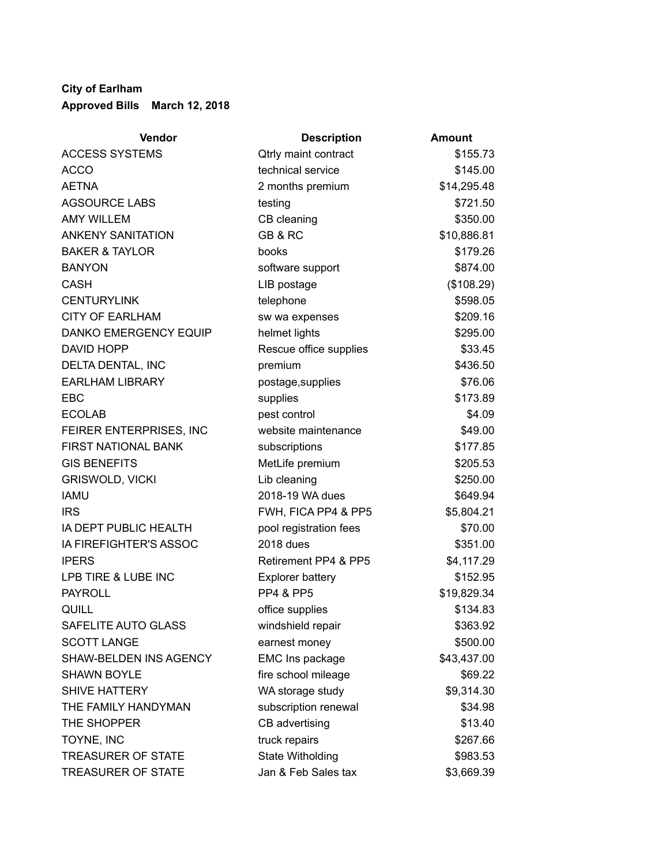## **City of Earlham Approved Bills March 12, 2018**

| Vendor                       | <b>Description</b>          | <b>Amount</b> |
|------------------------------|-----------------------------|---------------|
| <b>ACCESS SYSTEMS</b>        | <b>Qtrly maint contract</b> | \$155.73      |
| <b>ACCO</b>                  | technical service           | \$145.00      |
| <b>AETNA</b>                 | 2 months premium            | \$14,295.48   |
| <b>AGSOURCE LABS</b>         | testing                     | \$721.50      |
| <b>AMY WILLEM</b>            | CB cleaning                 | \$350.00      |
| <b>ANKENY SANITATION</b>     | GB & RC                     | \$10,886.81   |
| <b>BAKER &amp; TAYLOR</b>    | books                       | \$179.26      |
| <b>BANYON</b>                | software support            | \$874.00      |
| <b>CASH</b>                  | LIB postage                 | (\$108.29)    |
| <b>CENTURYLINK</b>           | telephone                   | \$598.05      |
| <b>CITY OF EARLHAM</b>       | sw wa expenses              | \$209.16      |
| <b>DANKO EMERGENCY EQUIP</b> | helmet lights               | \$295.00      |
| <b>DAVID HOPP</b>            | Rescue office supplies      | \$33.45       |
| DELTA DENTAL, INC            | premium                     | \$436.50      |
| <b>EARLHAM LIBRARY</b>       | postage, supplies           | \$76.06       |
| EBC                          | supplies                    | \$173.89      |
| <b>ECOLAB</b>                | pest control                | \$4.09        |
| FEIRER ENTERPRISES, INC      | website maintenance         | \$49.00       |
| <b>FIRST NATIONAL BANK</b>   | subscriptions               | \$177.85      |
| <b>GIS BENEFITS</b>          | MetLife premium             | \$205.53      |
| <b>GRISWOLD, VICKI</b>       | Lib cleaning                | \$250.00      |
| <b>IAMU</b>                  | 2018-19 WA dues             | \$649.94      |
| <b>IRS</b>                   | FWH, FICA PP4 & PP5         | \$5,804.21    |
| IA DEPT PUBLIC HEALTH        | pool registration fees      | \$70.00       |
| IA FIREFIGHTER'S ASSOC       | 2018 dues                   | \$351.00      |
| <b>IPERS</b>                 | Retirement PP4 & PP5        | \$4,117.29    |
| LPB TIRE & LUBE INC          | <b>Explorer battery</b>     | \$152.95      |
| <b>PAYROLL</b>               | <b>PP4 &amp; PP5</b>        | \$19,829.34   |
| <b>QUILL</b>                 | office supplies             | \$134.83      |
| SAFELITE AUTO GLASS          | windshield repair           | \$363.92      |
| <b>SCOTT LANGE</b>           | earnest money               | \$500.00      |
| SHAW-BELDEN INS AGENCY       | EMC Ins package             | \$43,437.00   |
| <b>SHAWN BOYLE</b>           | fire school mileage         | \$69.22       |
| <b>SHIVE HATTERY</b>         | WA storage study            | \$9,314.30    |
| THE FAMILY HANDYMAN          | subscription renewal        | \$34.98       |
| THE SHOPPER                  | CB advertising              | \$13.40       |
| TOYNE, INC                   | truck repairs               | \$267.66      |
| <b>TREASURER OF STATE</b>    | State Witholding            | \$983.53      |
| <b>TREASURER OF STATE</b>    | Jan & Feb Sales tax         | \$3,669.39    |